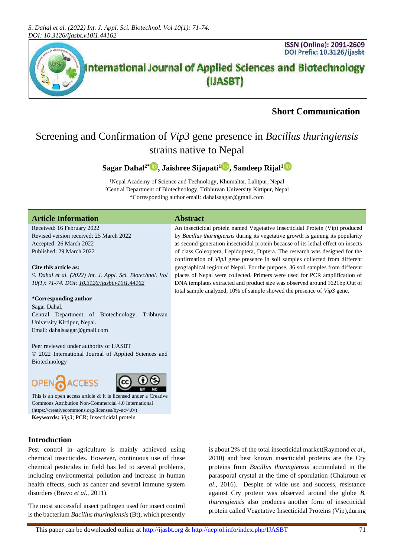

### **Short Communication**

## Screening and Confirmation of *Vip3* gene presence in *Bacillus thuringiensis*  strains native to Nepal

#### **Sagar Dahal2[\\*](https://orcid.org/0000-0001-7120-4455) , Jaishree Sijapati[1](https://orcid.org/0000-0002-1481-7316) , Sandeep Rijal[1](https://orcid.org/0000-0002-2260-4011)**

<sup>1</sup>Nepal Academy of Science and Technology, Khumaltar, Lalitpur, Nepal <sup>2</sup>Central Department of Biotechnology, Tribhuvan University Kirtipur, Nepal \*Corresponding author email: dahalsaagar@gmail.com

#### **Article Information Abstract**

Received: 16 February 2022 Revised version received: 25 March 2022 Accepted: 26 March 2022 Published: 29 March 2022

#### **Cite this article as:**

*S. Dahal et al. (2022) Int. J. Appl. Sci. Biotechnol. Vol 10(1): 71-74. DOI[: 10.3126/ijasbt.v10i1.44162](https://doi.org/10.3126/ijasbt.v10i1.44162)*

#### **\*Corresponding author**

Sagar Dahal, Central Department of Biotechnology, Tribhuvan University Kirtipur, Nepal. Email: dahalsaagar@gmail.com

Peer reviewed under authority of IJASBT © 2022 International Journal of Applied Sciences and Biotechnology

# OPEN



This is an open access article & it is licensed under a [Creative](https://creativecommons.org/licenses/by-nc/4.0/)  [Commons Attribution Non-Commercial 4.0 International](https://creativecommons.org/licenses/by-nc/4.0/) [\(https://creativecommons.org/licenses/by-nc/4.0/\)](https://creativecommons.org/licenses/by-nc/4.0/) **Keywords:** *Vip3*; PCR; Insecticidal protein

#### **Introduction**

Pest control in agriculture is mainly achieved using chemical insecticides. However, continuous use of these chemical pesticides in field has led to several problems, including environmental pollution and increase in human health effects, such as cancer and several immune system disorders (Bravo *et al*., 2011).

The most successful insect pathogen used for insect control is the bacterium *Bacillus thuringiensis* (Bt), which presently

An insecticidal protein named Vegetative Insecticidal Protein (Vip) produced by *Bacillus thuringiensis* during its vegetative growth is gaining its popularity as second-generation insecticidal protein because of its lethal effect on insects of class Coleoptera, Lepidoptera, Diptera. The research was designed for the confirmation of *Vip3* gene presence in soil samples collected from different geographical region of Nepal. For the purpose, 36 soil samples from different places of Nepal were collected. Primers were used for PCR amplification of DNA templates extracted and product size was observed around 1621bp.Out of total sample analyzed, 10% of sample showed the presence of *Vip3* gene.

> is about 2% of the total insecticidal market(Raymond *et al*., 2010) and best known insecticidal proteins are the Cry proteins from *Bacillus thuringiensis* accumulated in the parasporal crystal at the time of sporulation (Chakroun *et al*., 2016). Despite of wide use and success, resistance against Cry protein was observed around the globe *B. thurengiensis* also produces another form of insecticidal protein called Vegetative Insecticidal Proteins (Vip),during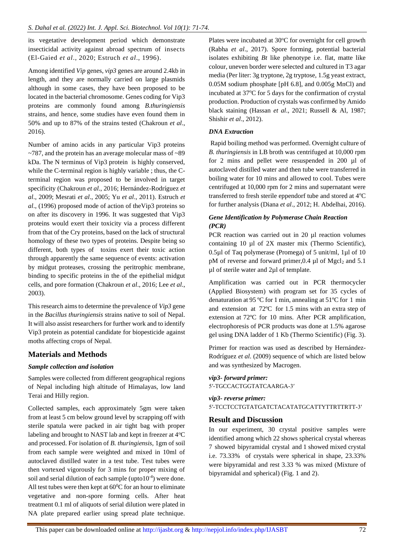its vegetative development period which demonstrate insecticidal activity against abroad spectrum of insects (El-Gaied *et al*., 2020; Estruch *et al*., 1996).

Among identified *Vip* genes, *vip3* genes are around 2.4kb in length, and they are normally carried on large plasmids although in some cases, they have been proposed to be located in the bacterial chromosome. Genes coding for Vip3 proteins are commonly found among *B.thuringiensis*  strains, and hence, some studies have even found them in 50% and up to 87% of the strains tested (Chakroun *et al*., 2016).

Number of amino acids in any particular Vip3 proteins ~787, and the protein has an average molecular mass of ~89 kDa. The N terminus of Vip3 protein is highly conserved, while the C-terminal region is highly variable ; thus, the Cterminal region was proposed to be involved in target specificity (Chakroun *et al*., 2016; Hernández-Rodríguez *et al*., 2009; Mesrati *et al*., 2005; Yu *et al*., 2011). Estruch *et al*., (1996) proposed mode of action of theVip3 proteins so on after its discovery in 1996. It was suggested that Vip3 proteins would exert their toxicity via a process different from that of the Cry proteins, based on the lack of structural homology of these two types of proteins. Despite being so different, both types of toxins exert their toxic action through apparently the same sequence of events: activation by midgut proteases, crossing the peritrophic membrane, binding to specific proteins in the of the epithelial midgut cells, and pore formation (Chakroun *et al*., 2016; Lee *et al*., 2003).

This research aims to determine the prevalence of *Vip3* gene in the *Bacillus thuringiensis* strains native to soil of Nepal. It will also assist researchers for further work and to identify Vip3 protein as potential candidate for biopesticide against moths affecting crops of Nepal.

#### **Materials and Methods**

#### *Sample collection and isolation*

Samples were collected from different geographical regions of Nepal including high altitude of Himalayas, low land Terai and Hilly region.

Collected samples, each approximately 5gm were taken from at least 5 cm below ground level by scrapping off with sterile spatula were packed in air tight bag with proper labeling and brought to NAST lab and kept in freezer at  $4^{\circ}C$ and processed. For isolation of *B. thuringiensis*, 1gm of soil from each sample were weighted and mixed in 10ml of autoclaved distilled water in a test tube. Test tubes were then vortexed vigorously for 3 mins for proper mixing of soil and serial dilution of each sample (upto $10^{-4}$ ) were done. All test tubes were then kept at  $60^{\circ}$ C for an hour to eliminate vegetative and non-spore forming cells. After heat treatment 0.1 ml of aliquots of serial dilution were plated in NA plate prepared earlier using spread plate technique.

Plates were incubated at  $30^{\circ}$ C for overnight for cell growth (Rabha *et al*., 2017). Spore forming, potential bacterial isolates exhibiting *Bt* like phenotype i.e. flat, matte like colour, uneven border were selected and cultured in T3 agar media (Per liter: 3g tryptone, 2g tryptose, 1.5g yeast extract, 0.05M sodium phosphate [pH 6.8], and 0.005g MnCl) and incubated at 37°C for 5 days for the confirmation of crystal production. Production of crystals was confirmed by Amido black staining (Hassan *et al*., 2021; Russell & Al, 1987; Shishir *et al*., 2012).

#### *DNA Extraction*

Rapid boiling method was performed. Overnight culture of *B. thuringiensis* in LB broth was centrifuged at 10,000 rpm for 2 mins and pellet were resuspended in 200 [µl](https://www.bing.com/ck/a?!&&p=16856e148eeaceba5138dccf5dd2933ff469d12195e140c3ee43cef8ffcdc52eJmltdHM9MTY0ODIwNDEwNyZpZ3VpZD0xMmQwMTczNy1jYzRiLTQyNzktOTI5ZC1jOWRmZmI5NmQyYjkmaW5zaWQ9NTE0Mg&ptn=3&fclid=4e934908-ac26-11ec-8122-f3b8fdcb5124&u=a1aHR0cHM6Ly93d3cuY29udmVydC1tZS5jb20vZW4vY29udmVydC92b2x1bWUvbWljcm9saXRlci5odG1sP21zY2xraWQ9NGU5MzQ5MDhhYzI2MTFlYzgxMjJmM2I4ZmRjYjUxMjQ&ntb=1) of autoclaved distilled water and then tube were transferred in boiling water for 10 mins and allowed to cool. Tubes were centrifuged at 10,000 rpm for 2 mins and supernatant were transferred to fresh sterile eppendorf tube and stored at  $4^{\circ}C$ for further analysis (Diana *et al*., 2012; H. Abdelhai, 2016).

#### *Gene Identification by Polymerase Chain Reaction (PCR)*

PCR reaction was carried out in 20 µl reaction volumes containing 10 µl of 2X master mix (Thermo Scientific), 0.5µl of Taq polymerase (Promega) of 5 unit/ml, 1µl of 10 pM of reverse and forward primer,  $0.4 \mu$ l of Mgcl<sub>2</sub> and  $5.1$ µl of sterile water and 2µl of template.

Amplification was carried out in PCR thermocycler (Applied Biosystem) with program set for 35 cycles of denaturation at 95 ºC for 1 min, annealing at 51ºC for 1 min and extension at 72ºC for 1.5 mins with an extra step of extension at 72ºC for 10 mins. After PCR amplification, electrophoresis of PCR products was done at 1.5% agarose gel using DNA ladder of 1 Kb (Thermo Scientific) (Fig. 3).

Primer for reaction was used as described by Hernández-Rodríguez *et al*. (2009) sequence of which are listed below and was synthesized by Macrogen.

#### *vip3- forward primer:* 5′-TGCCACTGGTATCAARGA-3′

#### *vip3- reverse primer:* 5′-TCCTCCTGTATGATCTACATATGCATTYTTRTTRTT-3′

#### **Result and Discussion**

In our experiment, 30 crystal positive samples were identified among which 22 shows spherical crystal whereas 7 showed bipyramidal crystal and 1 showed mixed crystal i.e. 73.33% of crystals were spherical in shape, 23.33% were bipyramidal and rest 3.33 % was mixed (Mixture of bipyramidal and spherical) (Fig. 1 and 2).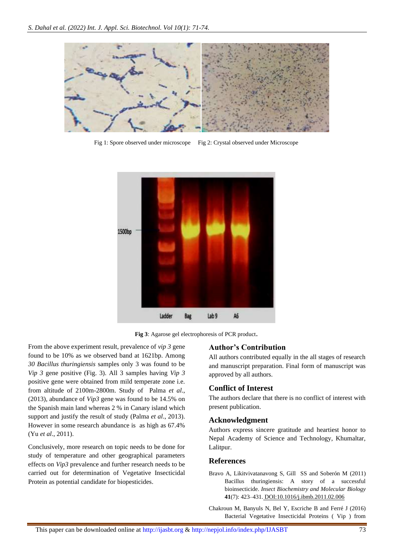

Fig 1: Spore observed under microscope Fig 2: Crystal observed under Microscope



**Fig 3**: Agarose gel electrophoresis of PCR product.

From the above experiment result, prevalence of *vip 3* gene found to be 10% as we observed band at 1621bp. Among *30 Bacillus thuringiensis* samples only 3 was found to be *Vip 3* gene positive (Fig. 3). All 3 samples having *Vip 3* positive gene were obtained from mild temperate zone i.e. from altitude of 2100m-2800m. Study of Palma *et al*., (2013), abundance of *Vip3* gene was found to be 14.5% on the Spanish main land whereas 2 % in Canary island which support and justify the result of study (Palma *et al*., 2013). However in some research abundance is as high as 67.4% (Yu *et al*., 2011).

Conclusively, more research on topic needs to be done for study of temperature and other geographical parameters effects on *Vip3* prevalence and further research needs to be carried out for determination of Vegetative Insecticidal Protein as potential candidate for biopesticides.

#### **Author's Contribution**

All authors contributed equally in the all stages of research and manuscript preparation. Final form of manuscript was approved by all authors.

#### **Conflict of Interest**

The authors declare that there is no conflict of interest with present publication.

#### **Acknowledgment**

Authors express sincere gratitude and heartiest honor to Nepal Academy of Science and Technology, Khumaltar, Lalitpur.

#### **References**

Bravo A, Likitvivatanavong S, Gill SS and Soberón M (2011) Bacillus thuringiensis: A story of a successful bioinsecticide. *Insect Biochemistry and Molecular Biology* **41**(7): 423–431. [DOI:10.1016/j.ibmb.2011.02.006](https://doi.org/10.1016/j.ibmb.2011.02.006)

Chakroun M, Banyuls N, Bel Y, Escriche B and Ferré J (2016) Bacterial Vegetative Insecticidal Proteins ( Vip ) from